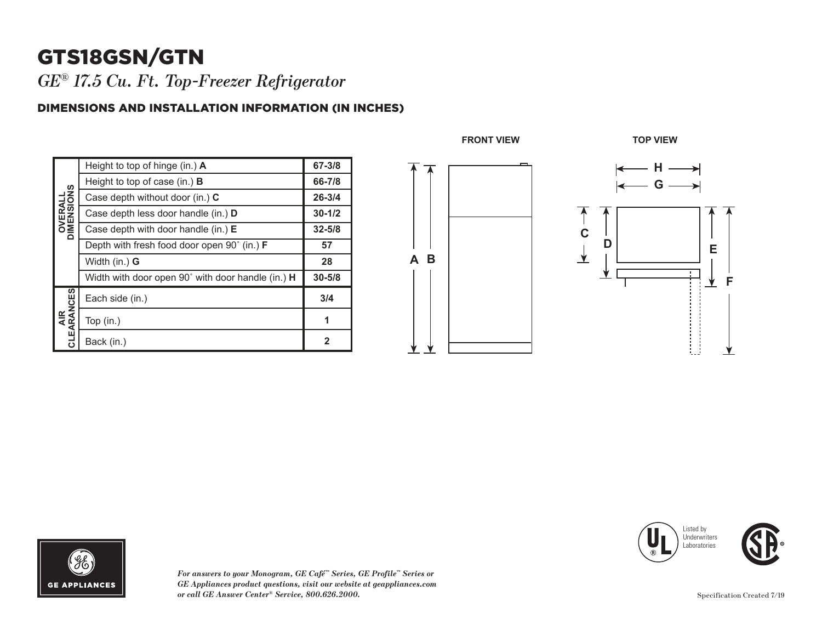## GTS18GSN/GTN

*GE® 17.5 Cu. Ft. Top-Freezer Refrigerator* 

#### DIMENSIONS AND INSTALLATION INFORMATION (IN INCHES)

| <b>OVERALL</b><br>DIMENSIONS | Height to top of hinge (in.) $\bm{A}$                       | 67-3/8     |
|------------------------------|-------------------------------------------------------------|------------|
|                              | Height to top of case (in.) $\bf{B}$                        | 66-7/8     |
|                              | Case depth without door (in.) C                             | $26 - 3/4$ |
|                              | Case depth less door handle (in.) <b>D</b>                  | $30 - 1/2$ |
|                              | Case depth with door handle (in.) $E$                       | $32 - 5/8$ |
|                              | Depth with fresh food door open $90^{\circ}$ (in.) <b>F</b> | 57         |
|                              | Width (in.) G                                               | 28         |
|                              | Width with door open 90° with door handle (in.) <b>H</b>    | $30 - 5/8$ |
| AIR<br>CLEARANCES            | Each side (in.)                                             | 3/4        |
|                              | Top $(in.)$                                                 | 1          |
|                              | Back (in.)                                                  | 2          |





*For answers to your Monogram, GE Café™ Series, GE Profile™ Series or GE Appliances product questions, visit our website at geappliances.com or call GE Answer Center® Service, 800.626.2000.*